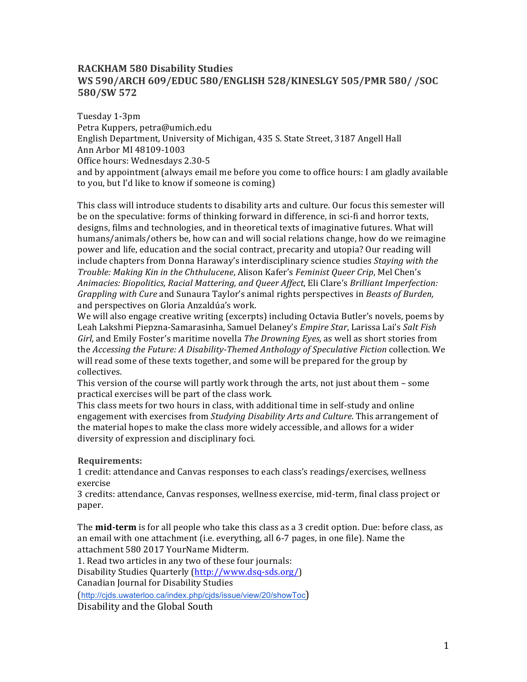# **RACKHAM 580 Disability Studies WS 590/ARCH 609/EDUC 580/ENGLISH 528/KINESLGY 505/PMR 580/ /SOC 580/SW 572**

Tuesday 1-3pm Petra Kuppers, petra@umich.edu English Department, University of Michigan, 435 S. State Street, 3187 Angell Hall Ann Arbor MI 48109-1003 Office hours: Wednesdays 2.30-5 and by appointment (always email me before you come to office hours: I am gladly available to you, but I'd like to know if someone is coming)

This class will introduce students to disability arts and culture. Our focus this semester will be on the speculative: forms of thinking forward in difference, in sci-fi and horror texts, designs, films and technologies, and in theoretical texts of imaginative futures. What will humans/animals/others be, how can and will social relations change, how do we reimagine power and life, education and the social contract, precarity and utopia? Our reading will include chapters from Donna Haraway's interdisciplinary science studies *Staying with the Trouble: Making Kin in the Chthulucene, Alison Kafer's Feminist Queer Crip, Mel Chen's* Animacies: Biopolitics, Racial Mattering, and Queer Affect, Eli Clare's Brilliant Imperfection: *Grappling with Cure* and Sunaura Taylor's animal rights perspectives in *Beasts of Burden*, and perspectives on Gloria Anzaldúa's work.

We will also engage creative writing (excerpts) including Octavia Butler's novels, poems by Leah Lakshmi Piepzna-Samarasinha, Samuel Delaney's *Empire Star*, Larissa Lai's Salt Fish *Girl*, and Emily Foster's maritime novella *The Drowning Eyes*, as well as short stories from the *Accessing the Future: A Disability-Themed Anthology of Speculative Fiction* collection. We will read some of these texts together, and some will be prepared for the group by collectives. 

This version of the course will partly work through the arts, not just about them - some practical exercises will be part of the class work.

This class meets for two hours in class, with additional time in self-study and online engagement with exercises from *Studying Disability Arts and Culture*. This arrangement of the material hopes to make the class more widely accessible, and allows for a wider diversity of expression and disciplinary foci.

# **Requirements:**

1 credit: attendance and Canvas responses to each class's readings/exercises, wellness exercise

3 credits: attendance, Canvas responses, wellness exercise, mid-term, final class project or paper. 

The **mid-term** is for all people who take this class as a 3 credit option. Due: before class, as an email with one attachment (i.e. everything, all  $6-7$  pages, in one file). Name the attachment 580 2017 YourName Midterm.

1. Read two articles in any two of these four journals:

Disability Studies Quarterly (http://www.dsq-sds.org/)

Canadian Journal for Disability Studies

(http://cjds.uwaterloo.ca/index.php/cjds/issue/view/20/showToc)

Disability and the Global South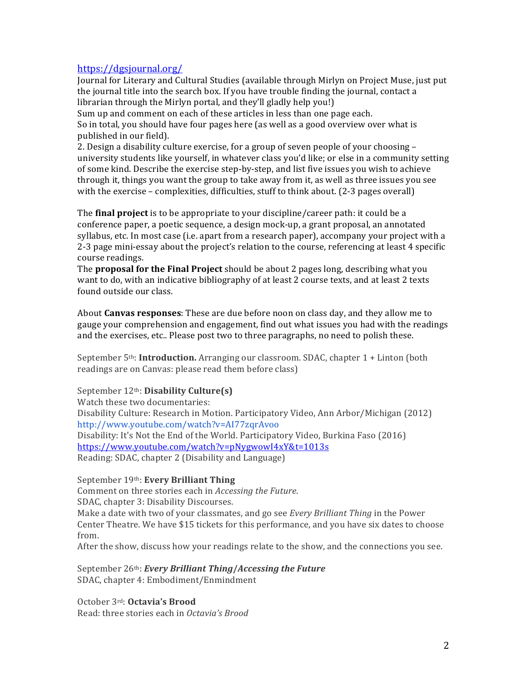# https://dgsjournal.org/

Journal for Literary and Cultural Studies (available through Mirlyn on Project Muse, just put the iournal title into the search box. If you have trouble finding the journal, contact a librarian through the Mirlyn portal, and they'll gladly help you!)

Sum up and comment on each of these articles in less than one page each. So in total, you should have four pages here (as well as a good overview over what is published in our field).

2. Design a disability culture exercise, for a group of seven people of your choosing university students like yourself, in whatever class you'd like; or else in a community setting of some kind. Describe the exercise step-by-step, and list five issues you wish to achieve through it, things you want the group to take away from it, as well as three issues you see with the exercise – complexities, difficulties, stuff to think about.  $(2-3)$  pages overall)

The **final project** is to be appropriate to your discipline/career path: it could be a conference paper, a poetic sequence, a design mock-up, a grant proposal, an annotated syllabus, etc. In most case (i.e. apart from a research paper), accompany your project with a 2-3 page mini-essay about the project's relation to the course, referencing at least 4 specific course readings.

**The proposal for the Final Project** should be about 2 pages long, describing what you want to do, with an indicative bibliography of at least 2 course texts, and at least 2 texts found outside our class.

About **Canvas responses**: These are due before noon on class day, and they allow me to gauge your comprehension and engagement, find out what issues you had with the readings and the exercises, etc.. Please post two to three paragraphs, no need to polish these.

September 5<sup>th</sup>: **Introduction.** Arranging our classroom. SDAC, chapter 1 + Linton (both readings are on Canvas: please read them before class)

September 12<sup>th</sup>: **Disability Culture(s)** 

Watch these two documentaries: Disability Culture: Research in Motion. Participatory Video, Ann Arbor/Michigan (2012) http://www.youtube.com/watch?v=AI77zqrAvoo Disability: It's Not the End of the World. Participatory Video, Burkina Faso (2016) https://www.youtube.com/watch?v=pNygwowI4xY&t=1013s Reading: SDAC, chapter 2 (Disability and Language)

September 19<sup>th</sup>: **Every Brilliant Thing** 

Comment on three stories each in *Accessing the Future*. SDAC, chapter 3: Disability Discourses. Make a date with two of your classmates, and go see *Every Brilliant Thing* in the Power Center Theatre. We have \$15 tickets for this performance, and you have six dates to choose from. 

After the show, discuss how your readings relate to the show, and the connections you see.

September 26<sup>th</sup>: *Every Brilliant Thing/Accessing the Future* SDAC, chapter 4: Embodiment/Enmindment

October 3<sup>rd</sup>: Octavia's Brood Read: three stories each in *Octavia's Brood*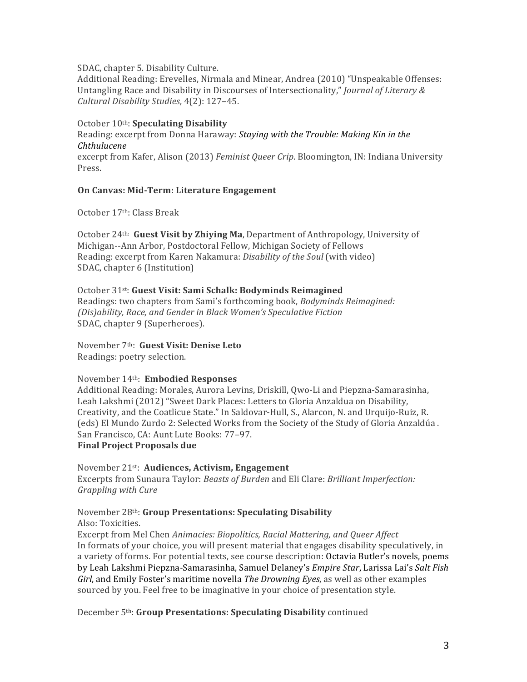#### SDAC, chapter 5. Disability Culture.

Additional Reading: Erevelles, Nirmala and Minear, Andrea (2010) "Unspeakable Offenses: Untangling Race and Disability in Discourses of Intersectionality," *Journal of Literary & Cultural Disability Studies*, 4(2): 127–45.

# October 10th: **Speculating Disability**

Reading: excerpt from Donna Haraway: *Staying with the Trouble: Making Kin in the Chthulucene*

excerpt from Kafer, Alison (2013) *Feminist Queer Crip*. Bloomington, IN: Indiana University Press.

## **On Canvas: Mid-Term: Literature Engagement**

October 17<sup>th</sup>: Class Break

October 24<sup>th:</sup> Guest Visit by Zhiying Ma, Department of Anthropology, University of Michigan--Ann Arbor, Postdoctoral Fellow, Michigan Society of Fellows Reading: excerpt from Karen Nakamura: *Disability of the Soul* (with video) SDAC, chapter 6 (Institution)

## October 31st: **Guest Visit: Sami Schalk: Bodyminds Reimagined**

Readings: two chapters from Sami's forthcoming book, *Bodyminds Reimagined: (Dis)ability, Race, and Gender in Black Women's Speculative Fiction* SDAC, chapter 9 (Superheroes).

November 7th: **Guest Visit: Denise Leto** Readings: poetry selection.

## November 14th: **Embodied Responses**

Additional Reading: Morales, Aurora Levins, Driskill, Qwo-Li and Piepzna-Samarasinha, Leah Lakshmi (2012) "Sweet Dark Places: Letters to Gloria Anzaldua on Disability, Creativity, and the Coatlicue State." In Saldovar-Hull, S., Alarcon, N. and Urquijo-Ruiz, R. (eds) El Mundo Zurdo 2: Selected Works from the Society of the Study of Gloria Anzaldúa. San Francisco, CA: Aunt Lute Books: 77-97.

# **Final Project Proposals due**

November 21<sup>st</sup>: **Audiences, Activism, Engagement** Excerpts from Sunaura Taylor: *Beasts of Burden* and Eli Clare: *Brilliant Imperfection: Grappling with Cure*

# November 28<sup>th</sup>: **Group Presentations: Speculating Disability**

Also: Toxicities.

Excerpt from Mel Chen *Animacies: Biopolitics, Racial Mattering, and Queer Affect* In formats of your choice, you will present material that engages disability speculatively, in a variety of forms. For potential texts, see course description: Octavia Butler's novels, poems by Leah Lakshmi Piepzna-Samarasinha, Samuel Delaney's *Empire Star*, Larissa Lai's Salt Fish *Girl*, and Emily Foster's maritime novella *The Drowning Eyes*, as well as other examples sourced by you. Feel free to be imaginative in your choice of presentation style.

December 5<sup>th</sup>: Group Presentations: Speculating Disability continued